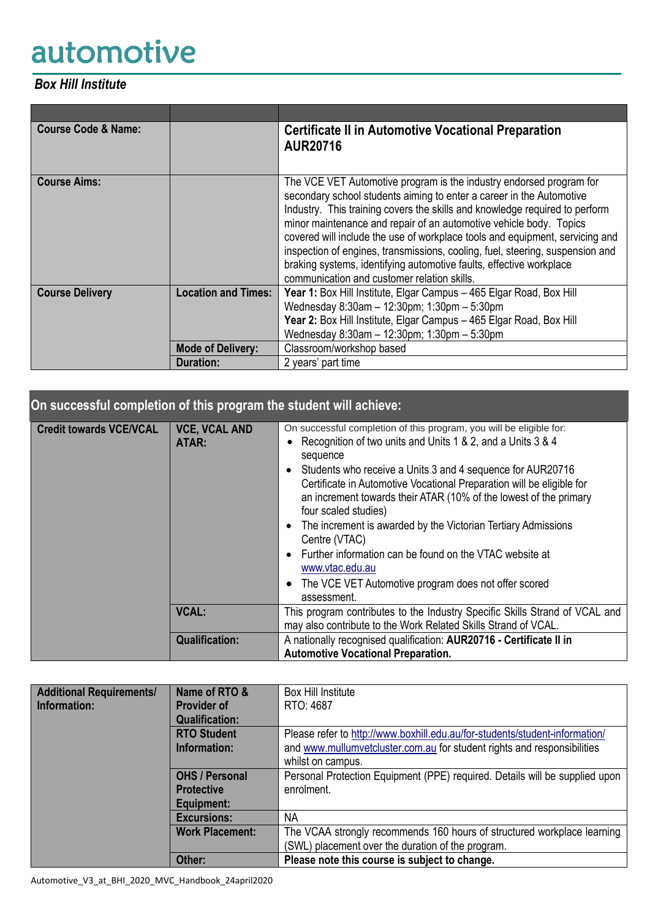# automotive

## *Box Hill Institute*

| <b>Course Code &amp; Name:</b> |                            | <b>Certificate II in Automotive Vocational Preparation</b><br><b>AUR20716</b>                                                                                                                                                                                                                                                                                                                                                                                                                                                                                                           |
|--------------------------------|----------------------------|-----------------------------------------------------------------------------------------------------------------------------------------------------------------------------------------------------------------------------------------------------------------------------------------------------------------------------------------------------------------------------------------------------------------------------------------------------------------------------------------------------------------------------------------------------------------------------------------|
| <b>Course Aims:</b>            |                            | The VCE VET Automotive program is the industry endorsed program for<br>secondary school students aiming to enter a career in the Automotive<br>Industry. This training covers the skills and knowledge required to perform<br>minor maintenance and repair of an automotive vehicle body. Topics<br>covered will include the use of workplace tools and equipment, servicing and<br>inspection of engines, transmissions, cooling, fuel, steering, suspension and<br>braking systems, identifying automotive faults, effective workplace<br>communication and customer relation skills. |
| <b>Course Delivery</b>         | <b>Location and Times:</b> | Year 1: Box Hill Institute, Elgar Campus - 465 Elgar Road, Box Hill<br>Wednesday 8:30am - 12:30pm; 1:30pm - 5:30pm<br>Year 2: Box Hill Institute, Elgar Campus - 465 Elgar Road, Box Hill<br>Wednesday 8:30am - 12:30pm; 1:30pm - 5:30pm                                                                                                                                                                                                                                                                                                                                                |
|                                | <b>Mode of Delivery:</b>   | Classroom/workshop based                                                                                                                                                                                                                                                                                                                                                                                                                                                                                                                                                                |
|                                | <b>Duration:</b>           | 2 years' part time                                                                                                                                                                                                                                                                                                                                                                                                                                                                                                                                                                      |

| On successful completion of this program the student will achieve: |                               |                                                                                                                                                                                                                                                                                                                                                                                                                                                                                                                                                                                                                                                     |
|--------------------------------------------------------------------|-------------------------------|-----------------------------------------------------------------------------------------------------------------------------------------------------------------------------------------------------------------------------------------------------------------------------------------------------------------------------------------------------------------------------------------------------------------------------------------------------------------------------------------------------------------------------------------------------------------------------------------------------------------------------------------------------|
| <b>Credit towards VCE/VCAL</b>                                     | <b>VCE, VCAL AND</b><br>ATAR: | On successful completion of this program, you will be eligible for:<br>Recognition of two units and Units 1 & 2, and a Units 3 & 4<br>sequence<br>Students who receive a Units 3 and 4 sequence for AUR20716<br>$\bullet$<br>Certificate in Automotive Vocational Preparation will be eligible for<br>an increment towards their ATAR (10% of the lowest of the primary<br>four scaled studies)<br>The increment is awarded by the Victorian Tertiary Admissions<br>$\bullet$<br>Centre (VTAC)<br>Further information can be found on the VTAC website at<br>www.vtac.edu.au<br>The VCE VET Automotive program does not offer scored<br>assessment. |
|                                                                    | <b>VCAL:</b>                  | This program contributes to the Industry Specific Skills Strand of VCAL and<br>may also contribute to the Work Related Skills Strand of VCAL.                                                                                                                                                                                                                                                                                                                                                                                                                                                                                                       |
|                                                                    | <b>Qualification:</b>         | A nationally recognised qualification: AUR20716 - Certificate II in<br><b>Automotive Vocational Preparation.</b>                                                                                                                                                                                                                                                                                                                                                                                                                                                                                                                                    |

| <b>Additional Requirements/</b> | Name of RTO &          | <b>Box Hill Institute</b>                                                   |
|---------------------------------|------------------------|-----------------------------------------------------------------------------|
| Information:                    | <b>Provider of</b>     | RTO: 4687                                                                   |
|                                 | <b>Qualification:</b>  |                                                                             |
|                                 | <b>RTO Student</b>     | Please refer to http://www.boxhill.edu.au/for-students/student-information/ |
|                                 | Information:           | and www.mullumvetcluster.com.au for student rights and responsibilities     |
|                                 |                        | whilst on campus.                                                           |
|                                 | <b>OHS / Personal</b>  | Personal Protection Equipment (PPE) required. Details will be supplied upon |
|                                 | <b>Protective</b>      | enrolment.                                                                  |
|                                 | Equipment:             |                                                                             |
|                                 | <b>Excursions:</b>     | ΝA                                                                          |
|                                 | <b>Work Placement:</b> | The VCAA strongly recommends 160 hours of structured workplace learning     |
|                                 |                        | (SWL) placement over the duration of the program.                           |
|                                 | Other:                 | Please note this course is subject to change.                               |